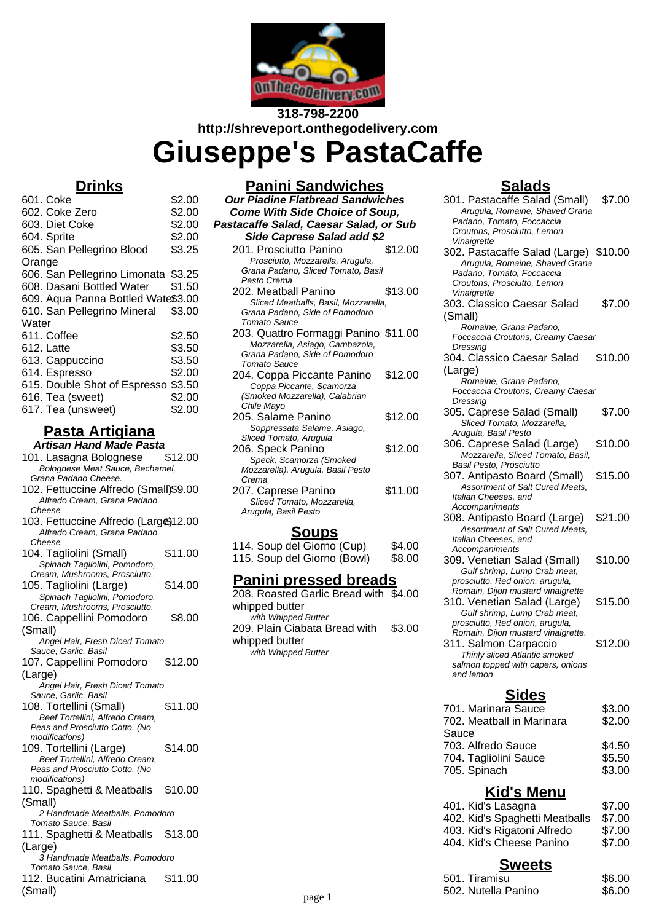

# **318-798-2200 http://shreveport.onthegodelivery.com**

**Giuseppe's PastaCaffe**

# **Drinks**

| 601. Coke                          | \$2.00 |
|------------------------------------|--------|
| 602. Coke Zero                     | \$2.00 |
| 603. Diet Coke                     | \$2.00 |
| 604. Sprite                        | \$2.00 |
| 605. San Pellegrino Blood          | \$3.25 |
| Orange                             |        |
| 606. San Pellegrino Limonata       | \$3.25 |
| 608. Dasani Bottled Water          | \$1.50 |
| 609. Aqua Panna Bottled Wate\$3.00 |        |
| 610. San Pellegrino Mineral        | \$3.00 |
| Water                              |        |
| 611. Coffee                        | \$2.50 |
| 612. Latte                         | \$3.50 |
| 613. Cappuccino                    | \$3.50 |
| 614. Espresso                      | \$2.00 |
| 615. Double Shot of Espresso       | \$3.50 |
| 616. Tea (sweet)                   | \$2.00 |
| 617. Tea (unsweet)                 | \$2.00 |
|                                    |        |

#### **Pasta Artigiana Artisan Hand Made Pasta**

101. Lasagna Bolognese \$12.00 Bolognese Meat Sauce, Bechamel, Grana Padano Cheese.

- 102. Fettuccine Alfredo (Small)\$9.00 Alfredo Cream, Grana Padano
- 103. Fettuccine Alfredo (Largo) 12.00 Alfredo Cream, Grana Padano

| 104. Tagilolini (Small)         | \$11.UU |
|---------------------------------|---------|
| Spinach Tagliolini, Pomodoro,   |         |
| Cream, Mushrooms, Prosciutto.   |         |
| 105. Tagliolini (Large)         | \$14.00 |
| Spinach Tagliolini, Pomodoro,   |         |
| Cream, Mushrooms, Prosciutto.   |         |
| 106. Cappellini Pomodoro        | \$8.00  |
| (Small)                         |         |
| Angel Hair, Fresh Diced Tomato  |         |
| Sauce, Garlic, Basil            |         |
| 107. Cappellini Pomodoro        | \$12.00 |
| (Large)                         |         |
| Angel Hair, Fresh Diced Tomato  |         |
| Sauce, Garlic, Basil            |         |
| 108. Tortellini (Small)         | \$11.00 |
| Beef Tortellini, Alfredo Cream, |         |
| Peas and Prosciutto Cotto. (No  |         |
| <i>modifications</i> )          |         |
| 109. Tortellini (Large)         | \$14.00 |
| Beef Tortellini, Alfredo Cream, |         |
| Peas and Prosciutto Cotto. (No  |         |
| modifications)                  |         |
| 110. Spaghetti & Meatballs      | \$10.00 |
| (Small)                         |         |
| 2 Handmade Meatballs, Pomodoro  |         |
| Tomato Sauce, Basil             |         |
| 111. Spaghetti & Meatballs      | \$13.00 |
| $\prime$ 1<br>$-1$              |         |

Cheese Cheese  $1.11 \times 10^{11}$   $1.00 \times 10^{11}$   $1.00 \times 10^{11}$ 

- 
- 
- (Large)
- 3 Handmade Meatballs, Pomodoro
- Tomato Sauce, Basil 112. Bucatini Amatriciana (Small) \$11.00

| <b>Panini Sandwiches</b>                                 |         |
|----------------------------------------------------------|---------|
| <b>Our Piadine Flatbread Sandwiches</b>                  |         |
| <b>Come With Side Choice of Soup,</b>                    |         |
| Pastacaffe Salad, Caesar Salad, or Sub                   |         |
| Side Caprese Salad add \$2                               |         |
| 201. Prosciutto Panino                                   | \$12.00 |
| Prosciutto, Mozzarella, Arugula,<br>$\sim$ $\sim$ $\sim$ |         |

- Grana Padano, Sliced Tomato, Basil Pesto Crema 202. Meatball Panino \$13.00 Sliced Meatballs, Basil, Mozzarella, Grana Padano, Side of Pomodoro Tomato Sauce 203. Quattro Formaggi Panino \$11.00 Mozzarella, Asiago, Cambazola, Grana Padano, Side of Pomodoro Tomato Sauce 204. Coppa Piccante Panino \$12.00 Coppa Piccante, Scamorza (Smoked Mozzarella), Calabrian Chile Mayo 205. Salame Panino \$12.00 Soppressata Salame, Asiago, Sliced Tomato, Arugula 206. Speck Panino \$12.00 Speck, Scamorza (Smoked Mozzarella), Arugula, Basil Pesto
- Crema 207. Caprese Panino \$11.00 Sliced Tomato, Mozzarella, Arugula, Basil Pesto

### **Soups**

| 114. Soup del Giorno (Cup)  | \$4.00 |
|-----------------------------|--------|
| 115. Soup del Giorno (Bowl) | \$8.00 |

#### **Panini pressed breads**

208. Roasted Garlic Bread with \$4.00 whipped butter with Whipped Butter 209. Plain Ciabata Bread with whipped butter \$3.00 with Whipped Butter

# **Salads**

301. Pastacaffe Salad (Small) \$7.00 Arugula, Romaine, Shaved Grana Padano, Tomato, Foccaccia Croutons, Prosciutto, Lemon **Vinaigrette** 302. Pastacaffe Salad (Large) \$10.00 Arugula, Romaine, Shaved Grana Padano, Tomato, Foccaccia Croutons, Prosciutto, Lemon Vinaigrette 303. Classico Caesar Salad (Small) \$7.00 Romaine, Grana Padano, Foccaccia Croutons, Creamy Caesar Dressing 304. Classico Caesar Salad (Large) \$10.00 Romaine, Grana Padano, Foccaccia Croutons, Creamy Caesar Dressing 305. Caprese Salad (Small) \$7.00 Sliced Tomato, Mozzarella, Arugula, Basil Pesto 306. Caprese Salad (Large) \$10.00 Mozzarella, Sliced Tomato, Basil, Basil Pesto, Prosciutto 307. Antipasto Board (Small) \$15.00 Assortment of Salt Cured Meats, Italian Cheeses, and **Accompaniments** 308. Antipasto Board (Large) \$21.00 Assortment of Salt Cured Meats, Italian Cheeses, and **Accompaniments** 309. Venetian Salad (Small) \$10.00 Gulf shrimp, Lump Crab meat, prosciutto, Red onion, arugula, Romain, Dijon mustard vinaigrette 310. Venetian Salad (Large) \$15.00 Gulf shrimp, Lump Crab meat, prosciutto, Red onion, arugula, Romain, Dijon mustard vinaigrette. 311. Salmon Carpaccio \$12.00 Thinly sliced Atlantic smoked salmon topped with capers, onions and lemon **Sides** 701. Marinara Sauce \$3.00 702. Meatball in Marinara Sauce \$2.00 703. Alfredo Sauce \$4.50 704. Tagliolini Sauce \$5.50 705. Spinach \$3.00

# **Kid's Menu**

| <b>Sweets</b>                  |        |  |  |
|--------------------------------|--------|--|--|
| 404. Kid's Cheese Panino       | \$7.00 |  |  |
| 403. Kid's Rigatoni Alfredo    | \$7.00 |  |  |
| 402. Kid's Spaghetti Meatballs | \$7.00 |  |  |
| 401. Kid's Lasagna             | \$7.00 |  |  |